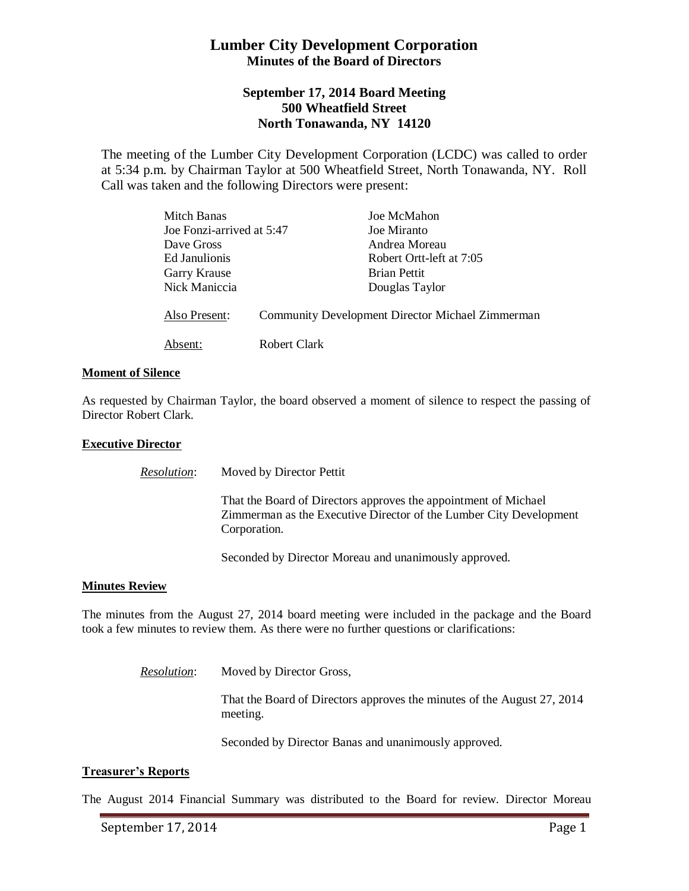# **Lumber City Development Corporation Minutes of the Board of Directors**

## **September 17, 2014 Board Meeting 500 Wheatfield Street North Tonawanda, NY 14120**

The meeting of the Lumber City Development Corporation (LCDC) was called to order at 5:34 p.m. by Chairman Taylor at 500 Wheatfield Street, North Tonawanda, NY. Roll Call was taken and the following Directors were present:

| Mitch Banas               |                                                         | Joe McMahon              |
|---------------------------|---------------------------------------------------------|--------------------------|
| Joe Fonzi-arrived at 5:47 |                                                         | Joe Miranto              |
| Dave Gross                |                                                         | Andrea Moreau            |
| Ed Janulionis             |                                                         | Robert Ortt-left at 7:05 |
| Garry Krause              |                                                         | <b>Brian Pettit</b>      |
| Nick Maniccia             |                                                         | Douglas Taylor           |
| Also Present:             | <b>Community Development Director Michael Zimmerman</b> |                          |
| Absent:                   | Robert Clark                                            |                          |

### **Moment of Silence**

As requested by Chairman Taylor, the board observed a moment of silence to respect the passing of Director Robert Clark.

#### **Executive Director**

*Resolution*: Moved by Director Pettit That the Board of Directors approves the appointment of Michael Zimmerman as the Executive Director of the Lumber City Development Corporation.

Seconded by Director Moreau and unanimously approved.

### **Minutes Review**

The minutes from the August 27, 2014 board meeting were included in the package and the Board took a few minutes to review them. As there were no further questions or clarifications:

> *Resolution*: Moved by Director Gross, That the Board of Directors approves the minutes of the August 27, 2014 meeting.

> > Seconded by Director Banas and unanimously approved.

### **Treasurer's Reports**

The August 2014 Financial Summary was distributed to the Board for review. Director Moreau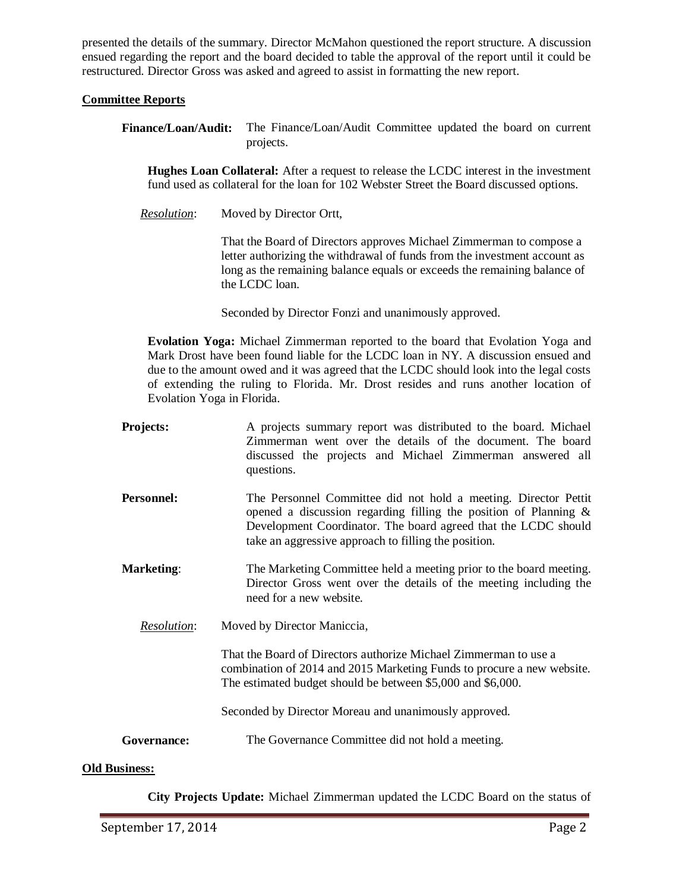presented the details of the summary. Director McMahon questioned the report structure. A discussion ensued regarding the report and the board decided to table the approval of the report until it could be restructured. Director Gross was asked and agreed to assist in formatting the new report.

### **Committee Reports**

**Finance/Loan/Audit:** The Finance/Loan/Audit Committee updated the board on current projects.

**Hughes Loan Collateral:** After a request to release the LCDC interest in the investment fund used as collateral for the loan for 102 Webster Street the Board discussed options.

*Resolution*: Moved by Director Ortt,

That the Board of Directors approves Michael Zimmerman to compose a letter authorizing the withdrawal of funds from the investment account as long as the remaining balance equals or exceeds the remaining balance of the LCDC loan.

Seconded by Director Fonzi and unanimously approved.

**Evolation Yoga:** Michael Zimmerman reported to the board that Evolation Yoga and Mark Drost have been found liable for the LCDC loan in NY. A discussion ensued and due to the amount owed and it was agreed that the LCDC should look into the legal costs of extending the ruling to Florida. Mr. Drost resides and runs another location of Evolation Yoga in Florida.

- **Projects:** A projects summary report was distributed to the board. Michael Zimmerman went over the details of the document. The board discussed the projects and Michael Zimmerman answered all questions.
- **Personnel:** The Personnel Committee did not hold a meeting. Director Pettit opened a discussion regarding filling the position of Planning & Development Coordinator. The board agreed that the LCDC should take an aggressive approach to filling the position.
- **Marketing:** The Marketing Committee held a meeting prior to the board meeting. Director Gross went over the details of the meeting including the need for a new website.

*Resolution*: Moved by Director Maniccia,

That the Board of Directors authorize Michael Zimmerman to use a combination of 2014 and 2015 Marketing Funds to procure a new website. The estimated budget should be between \$5,000 and \$6,000.

Seconded by Director Moreau and unanimously approved.

### Governance: The Governance Committee did not hold a meeting.

### **Old Business:**

**City Projects Update:** Michael Zimmerman updated the LCDC Board on the status of